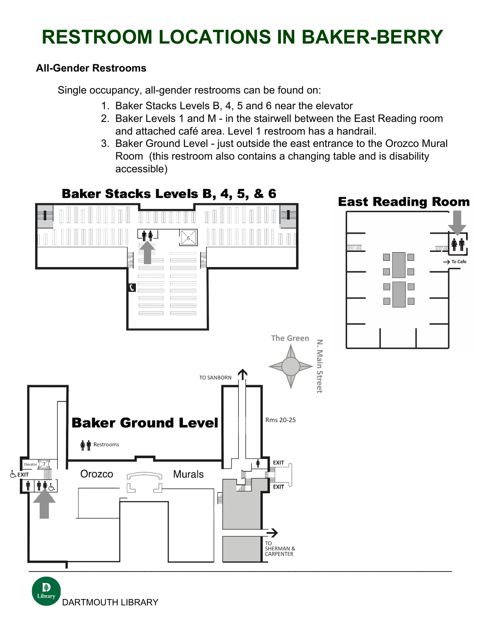## **RESTROOM LOCATIONS IN BAKER-BERRY**

## **All-Gender Restrooms**

Single occupancy, all-gender restrooms can be found on:

- 1. Baker Stacks Levels B, 4, 5 and 6 near the elevator
- 2. Baker Levels 1 and M in the stairwell between the East Reading room and attached café area. Level 1 restroom has a handrail.
- Room (this restroom also contains a changing table and is disability 3. Baker Ground Level - just outside the east entrance to the Orozco Mural accessible)



DARTMOUTH LIBRARY